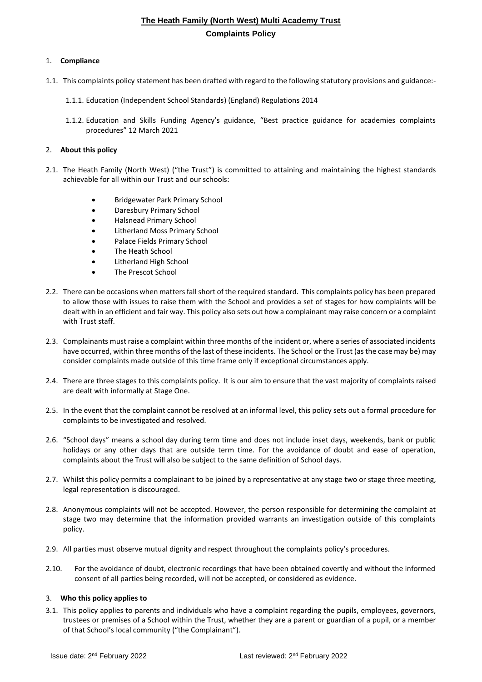### 1. **Compliance**

- 1.1. This complaints policy statement has been drafted with regard to the following statutory provisions and guidance:-
	- 1.1.1. Education (Independent School Standards) (England) Regulations 2014
	- 1.1.2. Education and Skills Funding Agency's guidance, "Best practice guidance for academies complaints procedures" 12 March 2021

### 2. **About this policy**

- 2.1. The Heath Family (North West) ("the Trust") is committed to attaining and maintaining the highest standards achievable for all within our Trust and our schools:
	- Bridgewater Park Primary School
	- Daresbury Primary School
	- Halsnead Primary School
	- Litherland Moss Primary School
	- Palace Fields Primary School
	- The Heath School
	- Litherland High School
	- The Prescot School
- 2.2. There can be occasions when matters fall short of the required standard. This complaints policy has been prepared to allow those with issues to raise them with the School and provides a set of stages for how complaints will be dealt with in an efficient and fair way. This policy also sets out how a complainant may raise concern or a complaint with Trust staff.
- 2.3. Complainants must raise a complaint within three months of the incident or, where a series of associated incidents have occurred, within three months of the last of these incidents. The School or the Trust (as the case may be) may consider complaints made outside of this time frame only if exceptional circumstances apply.
- 2.4. There are three stages to this complaints policy. It is our aim to ensure that the vast majority of complaints raised are dealt with informally at Stage One.
- 2.5. In the event that the complaint cannot be resolved at an informal level, this policy sets out a formal procedure for complaints to be investigated and resolved.
- 2.6. "School days" means a school day during term time and does not include inset days, weekends, bank or public holidays or any other days that are outside term time. For the avoidance of doubt and ease of operation, complaints about the Trust will also be subject to the same definition of School days.
- 2.7. Whilst this policy permits a complainant to be joined by a representative at any stage two or stage three meeting, legal representation is discouraged.
- 2.8. Anonymous complaints will not be accepted. However, the person responsible for determining the complaint at stage two may determine that the information provided warrants an investigation outside of this complaints policy.
- 2.9. All parties must observe mutual dignity and respect throughout the complaints policy's procedures.
- 2.10. For the avoidance of doubt, electronic recordings that have been obtained covertly and without the informed consent of all parties being recorded, will not be accepted, or considered as evidence.

### 3. **Who this policy applies to**

3.1. This policy applies to parents and individuals who have a complaint regarding the pupils, employees, governors, trustees or premises of a School within the Trust, whether they are a parent or guardian of a pupil, or a member of that School's local community ("the Complainant").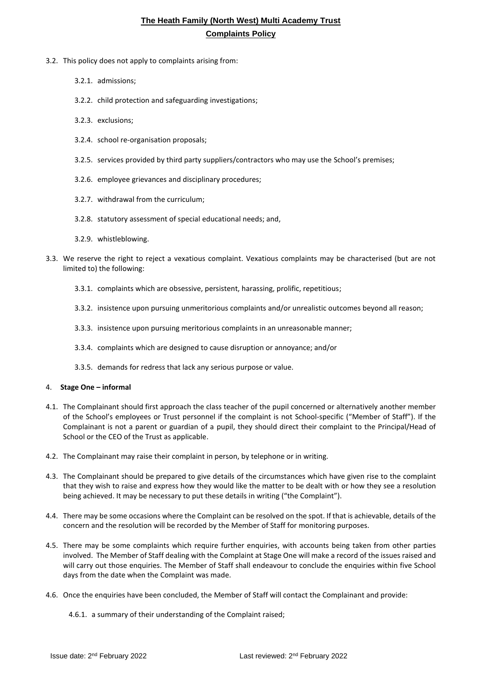- 3.2. This policy does not apply to complaints arising from:
	- 3.2.1. admissions;
	- 3.2.2. child protection and safeguarding investigations;
	- 3.2.3. exclusions;
	- 3.2.4. school re-organisation proposals;
	- 3.2.5. services provided by third party suppliers/contractors who may use the School's premises;
	- 3.2.6. employee grievances and disciplinary procedures;
	- 3.2.7. withdrawal from the curriculum;
	- 3.2.8. statutory assessment of special educational needs; and,
	- 3.2.9. whistleblowing.
- 3.3. We reserve the right to reject a vexatious complaint. Vexatious complaints may be characterised (but are not limited to) the following:
	- 3.3.1. complaints which are obsessive, persistent, harassing, prolific, repetitious;
	- 3.3.2. insistence upon pursuing unmeritorious complaints and/or unrealistic outcomes beyond all reason;
	- 3.3.3. insistence upon pursuing meritorious complaints in an unreasonable manner;
	- 3.3.4. complaints which are designed to cause disruption or annoyance; and/or
	- 3.3.5. demands for redress that lack any serious purpose or value.

#### 4. **Stage One – informal**

- 4.1. The Complainant should first approach the class teacher of the pupil concerned or alternatively another member of the School's employees or Trust personnel if the complaint is not School-specific ("Member of Staff"). If the Complainant is not a parent or guardian of a pupil, they should direct their complaint to the Principal/Head of School or the CEO of the Trust as applicable.
- 4.2. The Complainant may raise their complaint in person, by telephone or in writing.
- 4.3. The Complainant should be prepared to give details of the circumstances which have given rise to the complaint that they wish to raise and express how they would like the matter to be dealt with or how they see a resolution being achieved. It may be necessary to put these details in writing ("the Complaint").
- 4.4. There may be some occasions where the Complaint can be resolved on the spot. If that is achievable, details of the concern and the resolution will be recorded by the Member of Staff for monitoring purposes.
- 4.5. There may be some complaints which require further enquiries, with accounts being taken from other parties involved. The Member of Staff dealing with the Complaint at Stage One will make a record of the issues raised and will carry out those enquiries. The Member of Staff shall endeavour to conclude the enquiries within five School days from the date when the Complaint was made.
- 4.6. Once the enquiries have been concluded, the Member of Staff will contact the Complainant and provide:
	- 4.6.1. a summary of their understanding of the Complaint raised;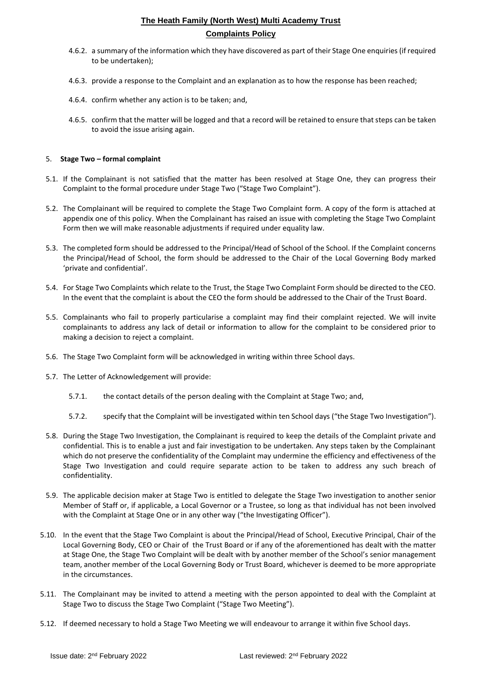- 4.6.2. a summary of the information which they have discovered as part of their Stage One enquiries (if required to be undertaken);
- 4.6.3. provide a response to the Complaint and an explanation as to how the response has been reached;
- 4.6.4. confirm whether any action is to be taken; and,
- 4.6.5. confirm that the matter will be logged and that a record will be retained to ensure that steps can be taken to avoid the issue arising again.

### 5. **Stage Two – formal complaint**

- 5.1. If the Complainant is not satisfied that the matter has been resolved at Stage One, they can progress their Complaint to the formal procedure under Stage Two ("Stage Two Complaint").
- 5.2. The Complainant will be required to complete the Stage Two Complaint form. A copy of the form is attached at appendix one of this policy. When the Complainant has raised an issue with completing the Stage Two Complaint Form then we will make reasonable adjustments if required under equality law.
- 5.3. The completed form should be addressed to the Principal/Head of School of the School. If the Complaint concerns the Principal/Head of School, the form should be addressed to the Chair of the Local Governing Body marked 'private and confidential'.
- 5.4. For Stage Two Complaints which relate to the Trust, the Stage Two Complaint Form should be directed to the CEO. In the event that the complaint is about the CEO the form should be addressed to the Chair of the Trust Board.
- 5.5. Complainants who fail to properly particularise a complaint may find their complaint rejected. We will invite complainants to address any lack of detail or information to allow for the complaint to be considered prior to making a decision to reject a complaint.
- 5.6. The Stage Two Complaint form will be acknowledged in writing within three School days.
- 5.7. The Letter of Acknowledgement will provide:
	- 5.7.1. the contact details of the person dealing with the Complaint at Stage Two; and,
	- 5.7.2. specify that the Complaint will be investigated within ten School days ("the Stage Two Investigation").
- 5.8. During the Stage Two Investigation, the Complainant is required to keep the details of the Complaint private and confidential. This is to enable a just and fair investigation to be undertaken. Any steps taken by the Complainant which do not preserve the confidentiality of the Complaint may undermine the efficiency and effectiveness of the Stage Two Investigation and could require separate action to be taken to address any such breach of confidentiality.
- 5.9. The applicable decision maker at Stage Two is entitled to delegate the Stage Two investigation to another senior Member of Staff or, if applicable, a Local Governor or a Trustee, so long as that individual has not been involved with the Complaint at Stage One or in any other way ("the Investigating Officer").
- 5.10. In the event that the Stage Two Complaint is about the Principal/Head of School, Executive Principal, Chair of the Local Governing Body, CEO or Chair of the Trust Board or if any of the aforementioned has dealt with the matter at Stage One, the Stage Two Complaint will be dealt with by another member of the School's senior management team, another member of the Local Governing Body or Trust Board, whichever is deemed to be more appropriate in the circumstances.
- 5.11. The Complainant may be invited to attend a meeting with the person appointed to deal with the Complaint at Stage Two to discuss the Stage Two Complaint ("Stage Two Meeting").
- 5.12. If deemed necessary to hold a Stage Two Meeting we will endeavour to arrange it within five School days.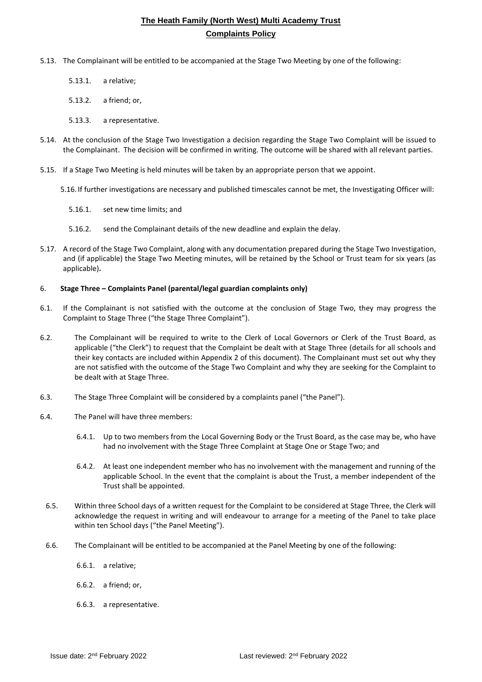- 5.13. The Complainant will be entitled to be accompanied at the Stage Two Meeting by one of the following:
	- 5.13.1. a relative;
	- 5.13.2. a friend; or,
	- 5.13.3. a representative.
- 5.14. At the conclusion of the Stage Two Investigation a decision regarding the Stage Two Complaint will be issued to the Complainant. The decision will be confirmed in writing. The outcome will be shared with all relevant parties.
- 5.15. If a Stage Two Meeting is held minutes will be taken by an appropriate person that we appoint.
	- 5.16. If further investigations are necessary and published timescales cannot be met, the Investigating Officer will:
		- 5.16.1. set new time limits; and
		- 5.16.2. send the Complainant details of the new deadline and explain the delay.
- 5.17. A record of the Stage Two Complaint, along with any documentation prepared during the Stage Two Investigation, and (if applicable) the Stage Two Meeting minutes, will be retained by the School or Trust team for six years (as applicable)**.**

#### 6. **Stage Three – Complaints Panel (parental/legal guardian complaints only)**

- 6.1. If the Complainant is not satisfied with the outcome at the conclusion of Stage Two, they may progress the Complaint to Stage Three ("the Stage Three Complaint").
- 6.2. The Complainant will be required to write to the Clerk of Local Governors or Clerk of the Trust Board, as applicable ("the Clerk") to request that the Complaint be dealt with at Stage Three (details for all schools and their key contacts are included within Appendix 2 of this document). The Complainant must set out why they are not satisfied with the outcome of the Stage Two Complaint and why they are seeking for the Complaint to be dealt with at Stage Three.
- 6.3. The Stage Three Complaint will be considered by a complaints panel ("the Panel").
- 6.4. The Panel will have three members:
	- 6.4.1. Up to two members from the Local Governing Body or the Trust Board, as the case may be, who have had no involvement with the Stage Three Complaint at Stage One or Stage Two; and
	- 6.4.2. At least one independent member who has no involvement with the management and running of the applicable School. In the event that the complaint is about the Trust, a member independent of the Trust shall be appointed.
- 6.5. Within three School days of a written request for the Complaint to be considered at Stage Three, the Clerk will acknowledge the request in writing and will endeavour to arrange for a meeting of the Panel to take place within ten School days ("the Panel Meeting").
- <span id="page-3-0"></span>6.6. The Complainant will be entitled to be accompanied at the Panel Meeting by one of the following:
	- 6.6.1. a relative;
	- 6.6.2. a friend; or,
	- 6.6.3. a representative.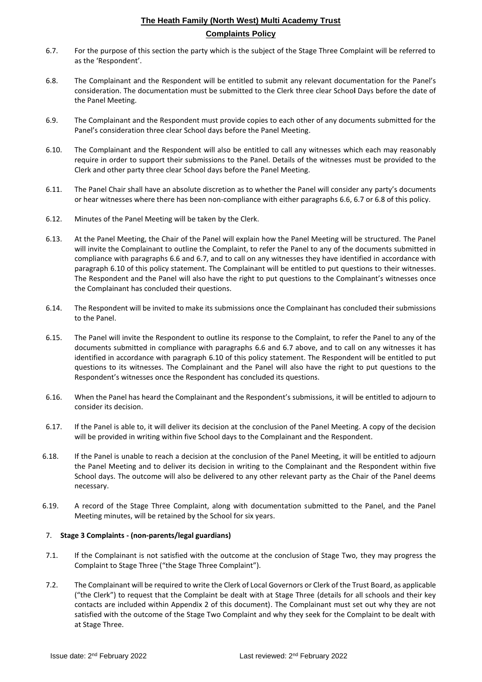- <span id="page-4-0"></span>6.7. For the purpose of this section the party which is the subject of the Stage Three Complaint will be referred to as the 'Respondent'.
- <span id="page-4-1"></span>6.8. The Complainant and the Respondent will be entitled to submit any relevant documentation for the Panel's consideration. The documentation must be submitted to the Clerk three clear Schoo**l** Days before the date of the Panel Meeting.
- 6.9. The Complainant and the Respondent must provide copies to each other of any documents submitted for the Panel's consideration three clear School days before the Panel Meeting.
- <span id="page-4-2"></span>6.10. The Complainant and the Respondent will also be entitled to call any witnesses which each may reasonably require in order to support their submissions to the Panel. Details of the witnesses must be provided to the Clerk and other party three clear School days before the Panel Meeting.
- 6.11. The Panel Chair shall have an absolute discretion as to whether the Panel will consider any party's documents or hear witnesses where there has been non-compliance with either paragraphs [6.6,](#page-3-0) [6.7](#page-4-0) or [6.8](#page-4-1) of this policy.
- 6.12. Minutes of the Panel Meeting will be taken by the Clerk.
- 6.13. At the Panel Meeting, the Chair of the Panel will explain how the Panel Meeting will be structured. The Panel will invite the Complainant to outline the Complaint, to refer the Panel to any of the documents submitted in compliance with paragraphs [6.6](#page-3-0) and [6.7,](#page-4-0) and to call on any witnesses they have identified in accordance with paragraph [6.10](#page-4-2) of this policy statement. The Complainant will be entitled to put questions to their witnesses. The Respondent and the Panel will also have the right to put questions to the Complainant's witnesses once the Complainant has concluded their questions.
- 6.14. The Respondent will be invited to make its submissions once the Complainant has concluded their submissions to the Panel.
- 6.15. The Panel will invite the Respondent to outline its response to the Complaint, to refer the Panel to any of the documents submitted in compliance with paragraphs [6.6](#page-3-0) and [6.7](#page-4-0) above, and to call on any witnesses it has identified in accordance with paragraph [6.10](#page-4-2) of this policy statement. The Respondent will be entitled to put questions to its witnesses. The Complainant and the Panel will also have the right to put questions to the Respondent's witnesses once the Respondent has concluded its questions.
- 6.16. When the Panel has heard the Complainant and the Respondent's submissions, it will be entitled to adjourn to consider its decision.
- 6.17. If the Panel is able to, it will deliver its decision at the conclusion of the Panel Meeting. A copy of the decision will be provided in writing within five School days to the Complainant and the Respondent.
- 6.18. If the Panel is unable to reach a decision at the conclusion of the Panel Meeting, it will be entitled to adjourn the Panel Meeting and to deliver its decision in writing to the Complainant and the Respondent within five School days. The outcome will also be delivered to any other relevant party as the Chair of the Panel deems necessary.
- 6.19. A record of the Stage Three Complaint, along with documentation submitted to the Panel, and the Panel Meeting minutes, will be retained by the School for six years.

### 7. **Stage 3 Complaints - (non-parents/legal guardians)**

- 7.1. If the Complainant is not satisfied with the outcome at the conclusion of Stage Two, they may progress the Complaint to Stage Three ("the Stage Three Complaint").
- 7.2. The Complainant will be required to write the Clerk of Local Governors or Clerk of the Trust Board, as applicable ("the Clerk") to request that the Complaint be dealt with at Stage Three (details for all schools and their key contacts are included within Appendix 2 of this document). The Complainant must set out why they are not satisfied with the outcome of the Stage Two Complaint and why they seek for the Complaint to be dealt with at Stage Three.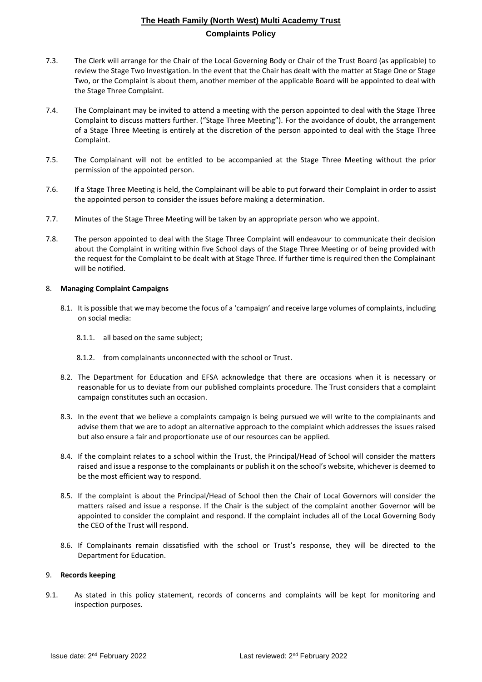- 7.3. The Clerk will arrange for the Chair of the Local Governing Body or Chair of the Trust Board (as applicable) to review the Stage Two Investigation. In the event that the Chair has dealt with the matter at Stage One or Stage Two, or the Complaint is about them, another member of the applicable Board will be appointed to deal with the Stage Three Complaint.
- 7.4. The Complainant may be invited to attend a meeting with the person appointed to deal with the Stage Three Complaint to discuss matters further. ("Stage Three Meeting"). For the avoidance of doubt, the arrangement of a Stage Three Meeting is entirely at the discretion of the person appointed to deal with the Stage Three Complaint.
- 7.5. The Complainant will not be entitled to be accompanied at the Stage Three Meeting without the prior permission of the appointed person.
- 7.6. If a Stage Three Meeting is held, the Complainant will be able to put forward their Complaint in order to assist the appointed person to consider the issues before making a determination.
- 7.7. Minutes of the Stage Three Meeting will be taken by an appropriate person who we appoint.
- 7.8. The person appointed to deal with the Stage Three Complaint will endeavour to communicate their decision about the Complaint in writing within five School days of the Stage Three Meeting or of being provided with the request for the Complaint to be dealt with at Stage Three. If further time is required then the Complainant will be notified.

### 8. **Managing Complaint Campaigns**

- 8.1. It is possible that we may become the focus of a 'campaign' and receive large volumes of complaints, including on social media:
	- 8.1.1. all based on the same subject;
	- 8.1.2. from complainants unconnected with the school or Trust.
- 8.2. The Department for Education and EFSA acknowledge that there are occasions when it is necessary or reasonable for us to deviate from our published complaints procedure. The Trust considers that a complaint campaign constitutes such an occasion.
- 8.3. In the event that we believe a complaints campaign is being pursued we will write to the complainants and advise them that we are to adopt an alternative approach to the complaint which addresses the issues raised but also ensure a fair and proportionate use of our resources can be applied.
- 8.4. If the complaint relates to a school within the Trust, the Principal/Head of School will consider the matters raised and issue a response to the complainants or publish it on the school's website, whichever is deemed to be the most efficient way to respond.
- 8.5. If the complaint is about the Principal/Head of School then the Chair of Local Governors will consider the matters raised and issue a response. If the Chair is the subject of the complaint another Governor will be appointed to consider the complaint and respond. If the complaint includes all of the Local Governing Body the CEO of the Trust will respond.
- 8.6. If Complainants remain dissatisfied with the school or Trust's response, they will be directed to the Department for Education.

### 9. **Records keeping**

9.1. As stated in this policy statement, records of concerns and complaints will be kept for monitoring and inspection purposes.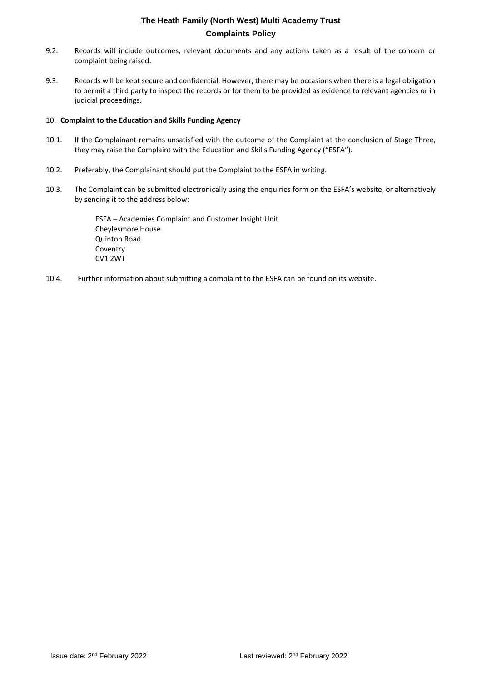- 9.2. Records will include outcomes, relevant documents and any actions taken as a result of the concern or complaint being raised.
- 9.3. Records will be kept secure and confidential. However, there may be occasions when there is a legal obligation to permit a third party to inspect the records or for them to be provided as evidence to relevant agencies or in judicial proceedings.

### 10. **Complaint to the Education and Skills Funding Agency**

- 10.1. If the Complainant remains unsatisfied with the outcome of the Complaint at the conclusion of Stage Three, they may raise the Complaint with the Education and Skills Funding Agency ("ESFA").
- 10.2. Preferably, the Complainant should put the Complaint to the ESFA in writing.
- 10.3. The Complaint can be submitted electronically using the enquiries form on the ESFA's website, or alternatively by sending it to the address below:

ESFA – Academies Complaint and Customer Insight Unit Cheylesmore House Quinton Road Coventry CV1 2WT

10.4. Further information about submitting a complaint to the ESFA can be found on its website.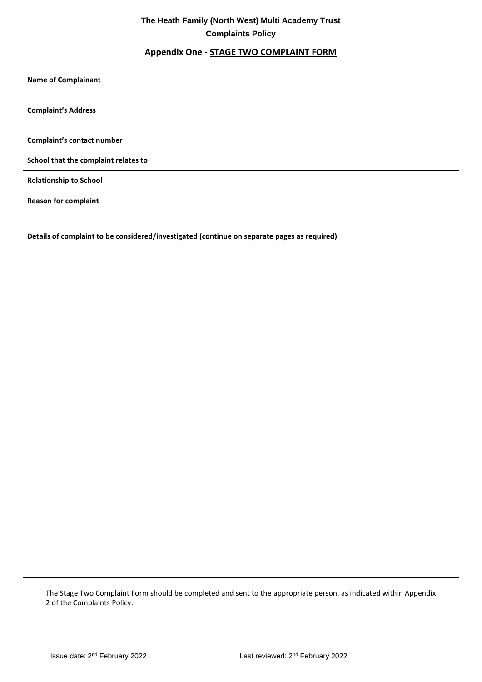## **Appendix One - STAGE TWO COMPLAINT FORM**

| <b>Name of Complainant</b>           |  |
|--------------------------------------|--|
| <b>Complaint's Address</b>           |  |
| Complaint's contact number           |  |
| School that the complaint relates to |  |
| <b>Relationship to School</b>        |  |
| <b>Reason for complaint</b>          |  |

**Details of complaint to be considered/investigated (continue on separate pages as required)**

The Stage Two Complaint Form should be completed and sent to the appropriate person, as indicated within Appendix 2 of the Complaints Policy.